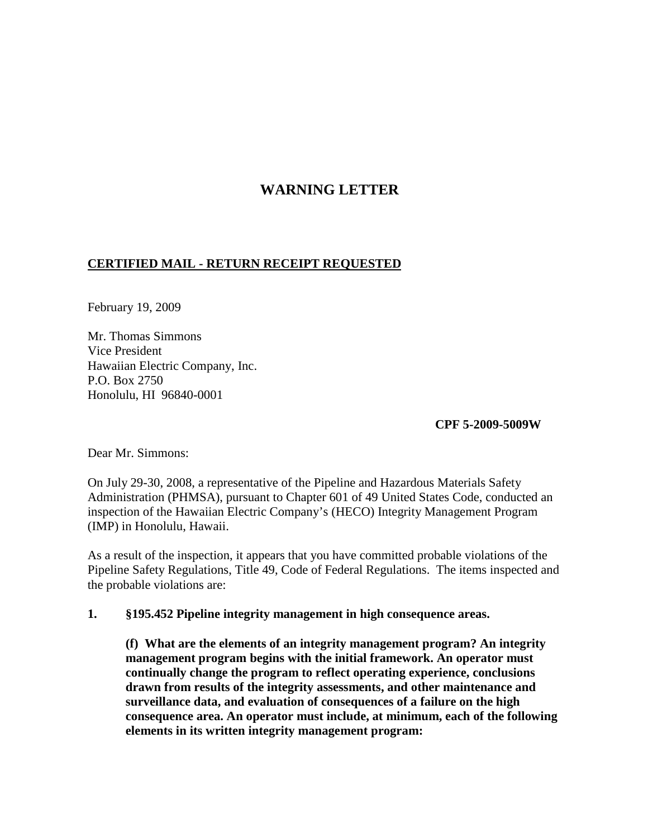# **WARNING LETTER**

## **CERTIFIED MAIL - RETURN RECEIPT REQUESTED**

February 19, 2009

Mr. Thomas Simmons Vice President Hawaiian Electric Company, Inc. P.O. Box 2750 Honolulu, HI 96840-0001

**CPF 5-2009-5009W**

Dear Mr. Simmons:

On July 29-30, 2008, a representative of the Pipeline and Hazardous Materials Safety Administration (PHMSA), pursuant to Chapter 601 of 49 United States Code, conducted an inspection of the Hawaiian Electric Company's (HECO) Integrity Management Program (IMP) in Honolulu, Hawaii.

As a result of the inspection, it appears that you have committed probable violations of the Pipeline Safety Regulations, Title 49, Code of Federal Regulations. The items inspected and the probable violations are:

## **1. §195.452 Pipeline integrity management in high consequence areas.**

**(f) What are the elements of an integrity management program? An integrity management program begins with the initial framework. An operator must continually change the program to reflect operating experience, conclusions drawn from results of the integrity assessments, and other maintenance and surveillance data, and evaluation of consequences of a failure on the high consequence area. An operator must include, at minimum, each of the following elements in its written integrity management program:**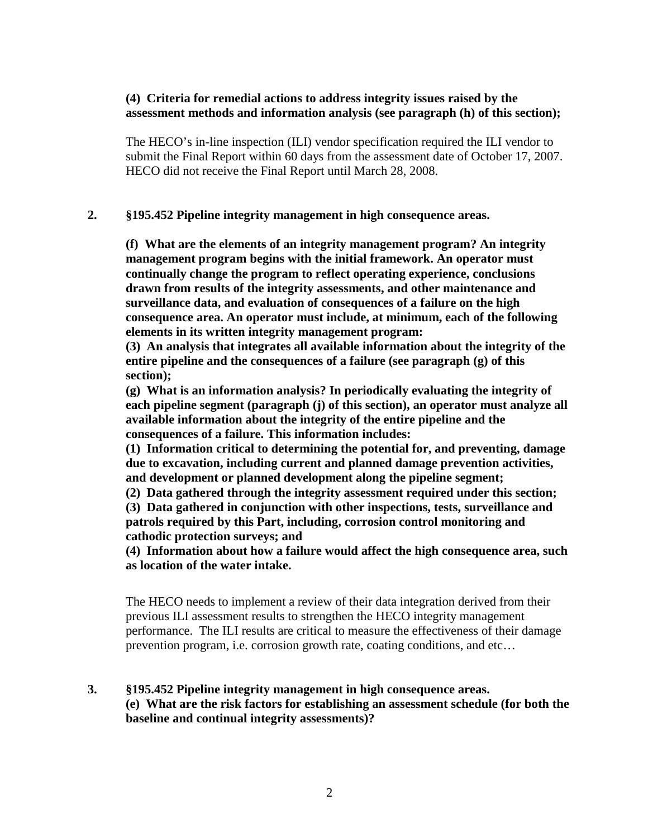## **(4) Criteria for remedial actions to address integrity issues raised by the assessment methods and information analysis (see paragraph (h) of this section);**

The HECO's in-line inspection (ILI) vendor specification required the ILI vendor to submit the Final Report within 60 days from the assessment date of October 17, 2007. HECO did not receive the Final Report until March 28, 2008.

#### **2. §195.452 Pipeline integrity management in high consequence areas.**

**(f) What are the elements of an integrity management program? An integrity management program begins with the initial framework. An operator must continually change the program to reflect operating experience, conclusions drawn from results of the integrity assessments, and other maintenance and surveillance data, and evaluation of consequences of a failure on the high consequence area. An operator must include, at minimum, each of the following elements in its written integrity management program:**

**(3) An analysis that integrates all available information about the integrity of the entire pipeline and the consequences of a failure (see paragraph (g) of this section);**

**(g) What is an information analysis? In periodically evaluating the integrity of each pipeline segment (paragraph (j) of this section), an operator must analyze all available information about the integrity of the entire pipeline and the consequences of a failure. This information includes:**

**(1) Information critical to determining the potential for, and preventing, damage due to excavation, including current and planned damage prevention activities, and development or planned development along the pipeline segment;**

**(2) Data gathered through the integrity assessment required under this section;**

**(3) Data gathered in conjunction with other inspections, tests, surveillance and patrols required by this Part, including, corrosion control monitoring and cathodic protection surveys; and**

**(4) Information about how a failure would affect the high consequence area, such as location of the water intake.**

The HECO needs to implement a review of their data integration derived from their previous ILI assessment results to strengthen the HECO integrity management performance. The ILI results are critical to measure the effectiveness of their damage prevention program, i.e. corrosion growth rate, coating conditions, and etc…

**3. §195.452 Pipeline integrity management in high consequence areas. (e) What are the risk factors for establishing an assessment schedule (for both the baseline and continual integrity assessments)?**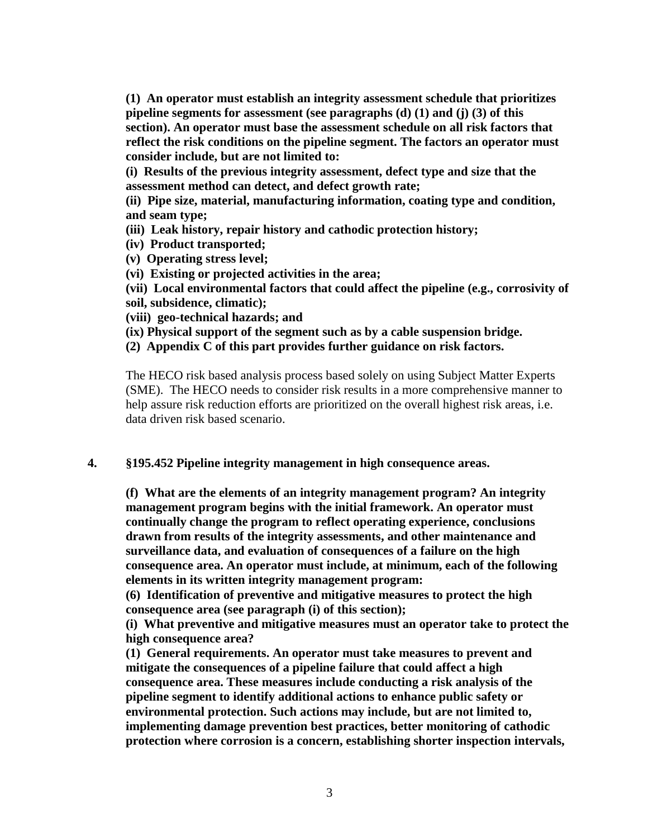**(1) An operator must establish an integrity assessment schedule that prioritizes pipeline segments for assessment (see paragraphs (d) (1) and (j) (3) of this section). An operator must base the assessment schedule on all risk factors that reflect the risk conditions on the pipeline segment. The factors an operator must consider include, but are not limited to:**

**(i) Results of the previous integrity assessment, defect type and size that the assessment method can detect, and defect growth rate;**

**(ii) Pipe size, material, manufacturing information, coating type and condition, and seam type;**

- **(iii) Leak history, repair history and cathodic protection history;**
- **(iv) Product transported;**
- **(v) Operating stress level;**
- **(vi) Existing or projected activities in the area;**

**(vii) Local environmental factors that could affect the pipeline (e.g., corrosivity of soil, subsidence, climatic);**

- **(viii) geo-technical hazards; and**
- **(ix) Physical support of the segment such as by a cable suspension bridge.**

**(2) Appendix C of this part provides further guidance on risk factors.**

The HECO risk based analysis process based solely on using Subject Matter Experts (SME). The HECO needs to consider risk results in a more comprehensive manner to help assure risk reduction efforts are prioritized on the overall highest risk areas, i.e. data driven risk based scenario.

#### **4. §195.452 Pipeline integrity management in high consequence areas.**

**(f) What are the elements of an integrity management program? An integrity management program begins with the initial framework. An operator must continually change the program to reflect operating experience, conclusions drawn from results of the integrity assessments, and other maintenance and surveillance data, and evaluation of consequences of a failure on the high consequence area. An operator must include, at minimum, each of the following elements in its written integrity management program:**

**(6) Identification of preventive and mitigative measures to protect the high consequence area (see paragraph (i) of this section);**

**(i) What preventive and mitigative measures must an operator take to protect the high consequence area?**

**(1) General requirements. An operator must take measures to prevent and mitigate the consequences of a pipeline failure that could affect a high consequence area. These measures include conducting a risk analysis of the pipeline segment to identify additional actions to enhance public safety or environmental protection. Such actions may include, but are not limited to, implementing damage prevention best practices, better monitoring of cathodic protection where corrosion is a concern, establishing shorter inspection intervals,**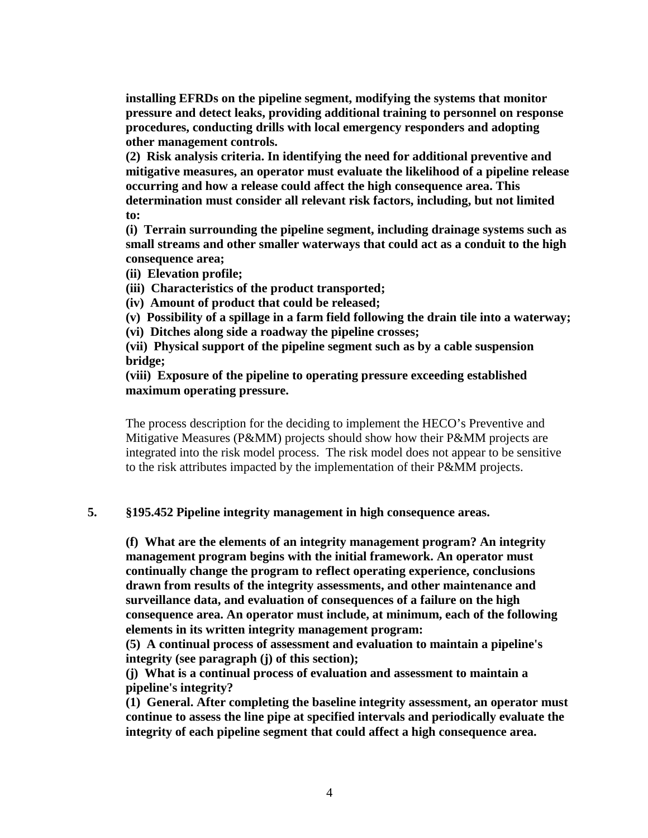**installing EFRDs on the pipeline segment, modifying the systems that monitor pressure and detect leaks, providing additional training to personnel on response procedures, conducting drills with local emergency responders and adopting other management controls.**

**(2) Risk analysis criteria. In identifying the need for additional preventive and mitigative measures, an operator must evaluate the likelihood of a pipeline release occurring and how a release could affect the high consequence area. This determination must consider all relevant risk factors, including, but not limited to:**

**(i) Terrain surrounding the pipeline segment, including drainage systems such as small streams and other smaller waterways that could act as a conduit to the high consequence area;**

- **(ii) Elevation profile;**
- **(iii) Characteristics of the product transported;**
- **(iv) Amount of product that could be released;**
- **(v) Possibility of a spillage in a farm field following the drain tile into a waterway;**
- **(vi) Ditches along side a roadway the pipeline crosses;**

**(vii) Physical support of the pipeline segment such as by a cable suspension bridge;**

### **(viii) Exposure of the pipeline to operating pressure exceeding established maximum operating pressure.**

The process description for the deciding to implement the HECO's Preventive and Mitigative Measures (P&MM) projects should show how their P&MM projects are integrated into the risk model process. The risk model does not appear to be sensitive to the risk attributes impacted by the implementation of their P&MM projects.

## **5. §195.452 Pipeline integrity management in high consequence areas.**

**(f) What are the elements of an integrity management program? An integrity management program begins with the initial framework. An operator must continually change the program to reflect operating experience, conclusions drawn from results of the integrity assessments, and other maintenance and surveillance data, and evaluation of consequences of a failure on the high consequence area. An operator must include, at minimum, each of the following elements in its written integrity management program:**

**(5) A continual process of assessment and evaluation to maintain a pipeline's integrity (see paragraph (j) of this section);**

**(j) What is a continual process of evaluation and assessment to maintain a pipeline's integrity?**

**(1) General. After completing the baseline integrity assessment, an operator must continue to assess the line pipe at specified intervals and periodically evaluate the integrity of each pipeline segment that could affect a high consequence area.**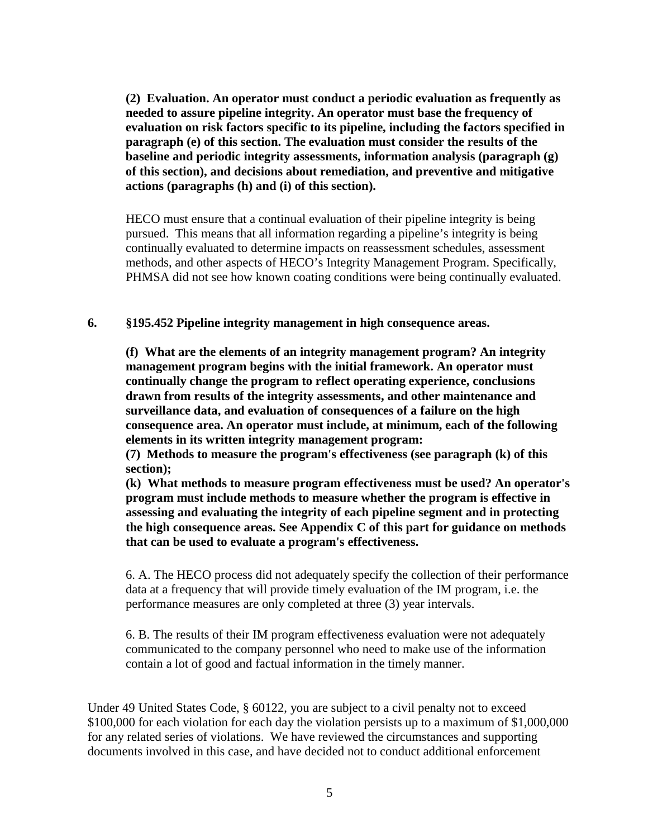**(2) Evaluation. An operator must conduct a periodic evaluation as frequently as needed to assure pipeline integrity. An operator must base the frequency of evaluation on risk factors specific to its pipeline, including the factors specified in paragraph (e) of this section. The evaluation must consider the results of the baseline and periodic integrity assessments, information analysis (paragraph (g) of this section), and decisions about remediation, and preventive and mitigative actions (paragraphs (h) and (i) of this section).**

HECO must ensure that a continual evaluation of their pipeline integrity is being pursued. This means that all information regarding a pipeline's integrity is being continually evaluated to determine impacts on reassessment schedules, assessment methods, and other aspects of HECO's Integrity Management Program. Specifically, PHMSA did not see how known coating conditions were being continually evaluated.

#### **6. §195.452 Pipeline integrity management in high consequence areas.**

**(f) What are the elements of an integrity management program? An integrity management program begins with the initial framework. An operator must continually change the program to reflect operating experience, conclusions drawn from results of the integrity assessments, and other maintenance and surveillance data, and evaluation of consequences of a failure on the high consequence area. An operator must include, at minimum, each of the following elements in its written integrity management program:**

**(7) Methods to measure the program's effectiveness (see paragraph (k) of this section);**

**(k) What methods to measure program effectiveness must be used? An operator's program must include methods to measure whether the program is effective in assessing and evaluating the integrity of each pipeline segment and in protecting the high consequence areas. See Appendix C of this part for guidance on methods that can be used to evaluate a program's effectiveness.**

6. A. The HECO process did not adequately specify the collection of their performance data at a frequency that will provide timely evaluation of the IM program, i.e. the performance measures are only completed at three (3) year intervals.

6. B. The results of their IM program effectiveness evaluation were not adequately communicated to the company personnel who need to make use of the information contain a lot of good and factual information in the timely manner.

Under 49 United States Code, § 60122, you are subject to a civil penalty not to exceed \$100,000 for each violation for each day the violation persists up to a maximum of \$1,000,000 for any related series of violations. We have reviewed the circumstances and supporting documents involved in this case, and have decided not to conduct additional enforcement